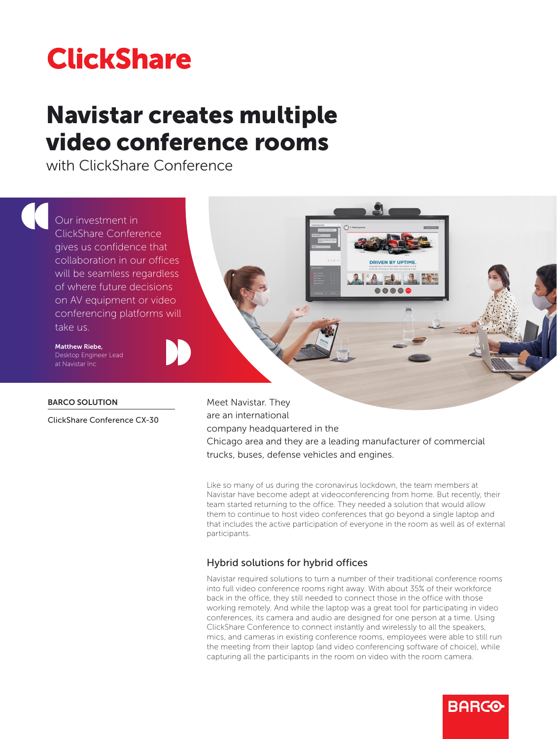# **ClickShare**

## Navistar creates multiple video conference rooms

with ClickShare Conference



## BARCO SOLUTION

ClickShare Conference CX-30

Meet Navistar. They are an international company headquartered in the Chicago area and they are a leading manufacturer of commercial trucks, buses, defense vehicles and engines.

Like so many of us during the coronavirus lockdown, the team members at Navistar have become adept at videoconferencing from home. But recently, their team started returning to the office. They needed a solution that would allow them to continue to host video conferences that go beyond a single laptop and that includes the active participation of everyone in the room as well as of external participants.

## Hybrid solutions for hybrid offices

Navistar required solutions to turn a number of their traditional conference rooms into full video conference rooms right away. With about 35% of their workforce back in the office, they still needed to connect those in the office with those working remotely. And while the laptop was a great tool for participating in video conferences, its camera and audio are designed for one person at a time. Using ClickShare Conference to connect instantly and wirelessly to all the speakers, mics, and cameras in existing conference rooms, employees were able to still run the meeting from their laptop (and video conferencing software of choice), while capturing all the participants in the room on video with the room camera.

**BARGO**